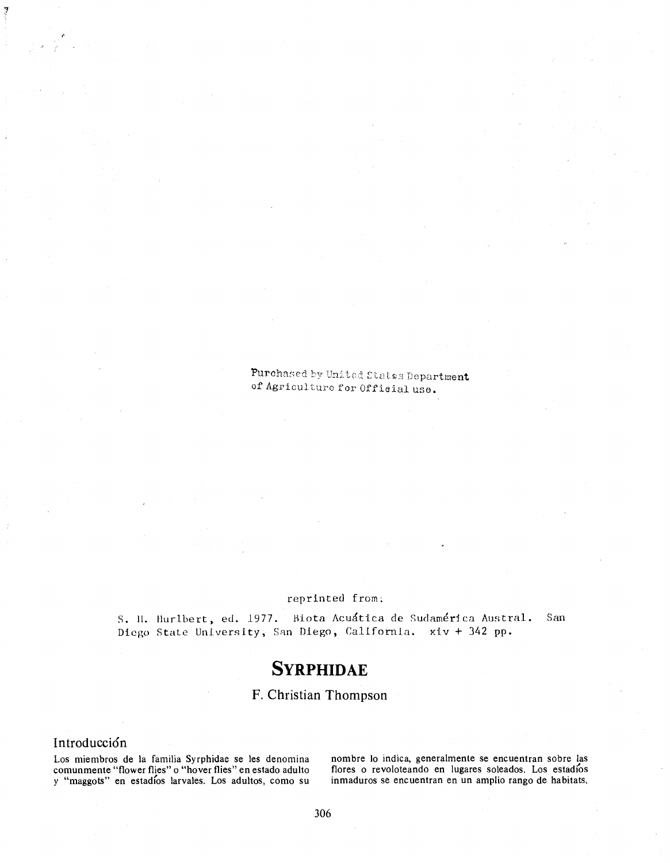### Purchased by United States Department of Agriculture for Official use.

#### reprinted from:

S. II. Hurlbert, ed. 1977. Biota Acuatica de Sudamerica Austral. San Diego State University, San Diego, California. xiv + 342 pp.

# SYRPHIDAE

## F. Christian Thompson

### Introducción

Los miembros de la familia Syrphidae se les denomina comunmente "flower flies" o "hover flies" en estado adulto y "maggots" en estadfos larvales. Los adultos, como su inmaduros se encuentran en un amplio rango de habitats.

nombre lo indica, generalmente se encuentran sobre las flores o revoloteando en lugares soleados. Los estadios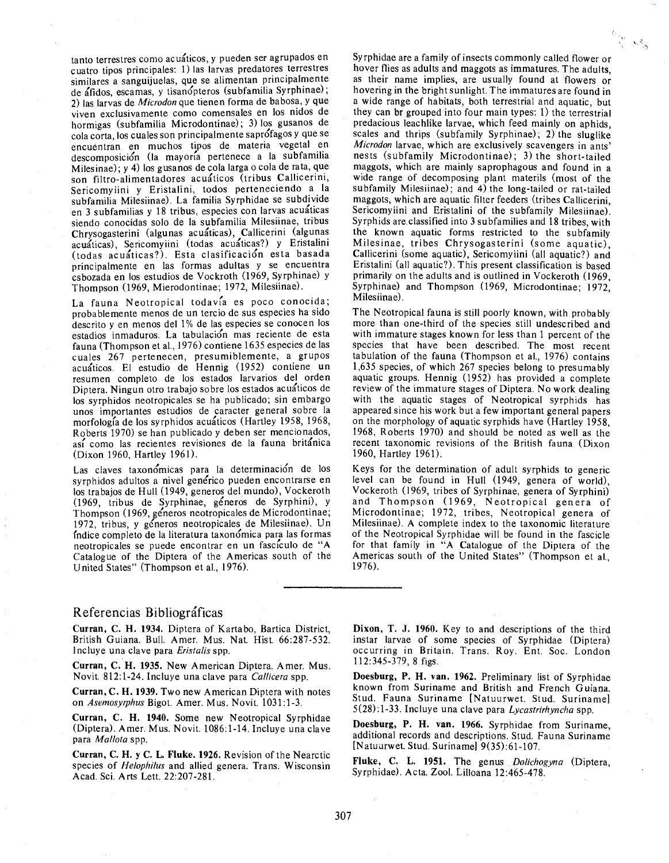tanto terrestres como acuaticos, y pueden ser agrupados en cuatro tipos principals: 1) las larvas predatores terrestres similares a sanguijuelas, que se alimentan principalmente de áfidos, escamas, y tisanópteros (subfamilia Syrphinae); 2) las larvas de *Microdon* que tienen forma de babosa, y que viven exclusivamente como comensales en los nidos de hormigas (subfamilia Microdontinae); 3) los gusanos de cola corta, los cuales son principalmente saprofagos y que se encuentran en muchos tipos de materia vegetal en descomposicion (la mayoria pertenece a la subfamilia Milesinae); y 4) los gusanos de cola larga o cola de rata, que son filtro-alimentadores acuáticos (tribus Callicerini, Sericomyiini <sup>y</sup> Eristalini, todos perteneciendo a la subfamilia Milesiinae). La familia Syrphidae se subdivide en 3 subfamilias y 18 tribus, especies con larvas acuáticas siendo conocidas solo de la subfamilia Milesiinae, tribus Chrysogasterini (algunas acuaticas), Callicerini (algunas acuaticas), Sericomyiini (todas acuaticas?) y Eristalini (todas acuaticas?). Esta clasificacion esta basada principalmente en las formas adultas <sup>y</sup> se encuentra esbozada en los estudios de Vockroth (1969, Syrphinae) y Thompson (1969, Mierodontinae; 1972, Milesiinae).

La fauna Neotropical todavía es poco conocida; probablemente menos de un tercio de sus especies ha sido descrito y en menos del 1% de las especies se conocen los estadios inmaduros. La tabulacion mas reciente de esta fauna (Thompson et al., 1976) contiene 1635 especies de las cuales 267 pertenecen, presumiblemente, a grupos acuáticos. El estudio de Hennig (1952) contiene un resumen completo de los estados larvarios del orden Diptera. Ningun otro trabajo sobre los estados acuaticos de los syrphidos neotropicales se ha publicado; sin embargo unos importantes estudios de caracter general sobre la morfologfa de los syrphidos acuaticos (Hartley 1958, 1968, Roberts 1970) se han publicado y deben ser mencionados, asf como las recientes revisiones de la fauna britanica (Dixon i960, Hartley 1961).

Las claves taxonómicas para la determinación de los syrphidos adultos a nivel generico pueden encontrarse en los trabajos de Hull (1949, generos del mundo), Vockeroth (1969, tribus de Syrphinae, generos de Syrphini), y Thompson (1969, generos neotropicales de Microdontinae; 1972, tribus, y generos neotropicales de Milesiinae). Un fndice completo de la literatura taxonomica para las formas neotropicales se puede encontrar en un fasciculo de "A Catalogue of the Diptera of the Americas south of the United States" (Thompson et al., 1976).

Syrphidae are a family of insects commonly called flower or hover flies as adults and maggots as immatures. The adults, as their name implies, are usually found at flowers or hovering in the bright sunlight. The immatures are found in a wide range of habitats, both terrestrial and aquatic, but they can br grouped into four main types: 1) the terrestrial predacious leachlike larvae, which feed mainly on aphids, scales and thrips (subfamily Syrphinae); 2) the sluglike *Microdon* larvae, which are exclusively scavengers in ants' nests (subfamily Microdontinae); 3) the short-tailed maggots, which are mainly saprophagous and found in a wide range of decomposing plant materils (most of the subfamily Milesiinae); and 4) the long-tailed or rat-tailed maggots, which are aquatic filter feeders (tribes Callicerini, Sericomyiini and Eristalini of the subfamily Milesiinae). Syrphids are classified into <sup>3</sup> subfamilies and 18 tribes, with the known aquatic forms restricted to the subfamily Milesinae, tribes Chrysogasterini (some aquatic), Callicerini (some aquatic), Sericomyiini (all aquatic?) and Eristalini (all aquatic?). This present classification is based primarily on the adults and is outlined in Vockeroth (1969, Syrphinae) and Thompson (1969, Microdontinae; 1972, Milesiinae).

The Neotropical fauna is still poorly known, with probably more than one-third of the species still undescribed and with immature stages known for less than <sup>1</sup> percent of the species that have been described. The most recent tabulation of the fauna (Thompson et al., 1976) contains 1,635 species, of which 267 species belong to presumably aquatic groups. Hennig (1952) has provided a complete review of the immature stages of Diptera. No work dealing with the aquatic stages of Neotropical syrphids has appeared since his work but a few important general papers on the morphology of aquatic syrphids have  $\overline{H}$  (Hartley 1958, 1968, Roberts 1970) and should be noted as well as the recent taxonomic revisions of the British fauna (Dixon 1960, Hartley 1961).

Keys for the determination of adult syrphids to generic level can be found in Hull (1949, genera of world), Vockeroth (1969, tribes of Syrphinae, genera of Syrphini) and Thompson (1969, Neotropical genera of Microdontinae; 1972, tribes, Neotropical genera of Milesiinae). A complete index to the taxonomic literature of the Neotropical Syrphidae will be found in the fascicle for that family in "A Catalogue of the Diptera of the Americas south of the United States" (Thompson et al., 1976).

#### Referencias Bibliograficas

Curran, C. H. 1934. Diptera of Kartabo, Bartica District, British Guiana. Bull. Amer. Mus. Nat. Hist. 66:287-532. Incluye una clave para *Eristalis* spp.

Curran, C. H. 1935. New American Diptera. Amer. Mus. Novit. 812:1-24. Incluye una clave para *Callicera* spp.

Curran, C. H. 1939. Two new American Diptera with notes on *Asemosyrphus* Bigot. Amer. Mus. Novit. 1031:1-3.

Curran, C. H. 1940. Some new Neotropical Syrphidae (Diptera). Amer. Mus. Novit. 1086:1-14. Incluye una clave para *Mallota* spp.

Curran, C. H. y C. L. Fluke. 1926. Revision of the Nearctic species of *Helophilus* and allied genera. Trans. Wisconsin Acad. Sci. Arts Lett. 22:207-281.

Dixon, T. J. 1960. Key to and descriptions of the third instar larvae of some species of Syrphidae (Diptera) occurring in Britain. Trans. Roy. Ent. Soc. London 112:345-379, 8 figs.

Doesburg, P. H. van. 1962. Preliminary list of Syrphidae known from Suriname and British and French Guiana. Stud. Fauna Suriname [Natuurwet. Stud. Suriname] 5(28): 1-33. Incluye una clave para *Lycastrirhyncha* spp.

Doesburg, P. H. van. 1966. Syrphidae from Suriname, additional records and descriptions. Stud. Fauna Suriname [Natuurwet. Stud. Suriname] 9(35):61-107.

Fluke, C. L. 1951. The genus *Dolichogyna* (Diptera, Syrphidae). Acta. Zool. Lilloana 12:465-478.